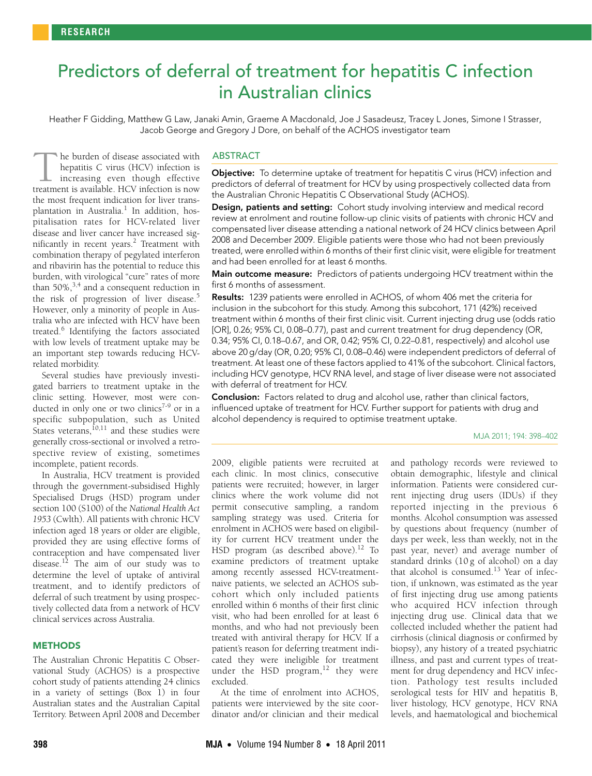# <span id="page-0-0"></span>Predictors of deferral of treatment for hepatitis C infection in Australian clinics

Heather F Gidding, Matthew G Law, Janaki Amin, Graeme A Macdonald, Joe J Sasadeusz, Tracey L Jones, Simone I Strasser, Jacob George and Gregory J Dore, on behalf of the ACHOS investigator team

phansation rates for ITC v-related liver<br>disease and liver cancer have incre[ased](#page-0-0) [sig-](#page-4-12) $\frac{1}{2}$  and tiver cancer have increased sig-mificantly in recent years.<sup>[2](#page-4-1)</sup> Treatment with combination therapy of pegylated interferon and ribavirin has the potential to reduce this he burden of disease associated with hepatitis C virus (HCV) infection is increasing even though effective The burden of disease associated with<br>hepatitis C virus (HCV) infection is<br>increasing even though effective<br>treatment is available. HCV infection is now the most frequent indication for liver trans-plantation in Australia.<sup>[1](#page-4-0)</sup> In addition, hospitalisation rates for HCV-related liver burden, with virological "cure" rates of more than 50%,  $3,4$  $3,4$  $3,4$  and a consequent reduction in the risk of progression of liver disease.<sup>[5](#page-4-4)</sup> However, only a minority of people in Australia who are infected with HCV have been treated.<sup>[6](#page-4-5)</sup> Identifying the factors associated with low levels of treatment uptake may be an important step towards reducing HCVrelated morbidity.

Several studies have previously investigated barriers to treatment uptake in the clinic setting. However, most were con-ducted in only one or two clinics<sup>[7](#page-4-6)-9</sup> or in a specific subpopulation, such as United States veterans,<sup>[10](#page-4-8),11</sup> and these studies were generally cross-sectional or involved a retrospective review of existing, sometimes incomplete, patient records.

In Australia, HCV treatment is provided through the government-subsidised Highly Specialised Drugs (HSD) program under section 100 (S100) of the *National Health Act 1953* (Cwlth). All patients with chronic HCV infection aged 18 years or older are eligible, provided they are using effective forms of contraception and have compensated liver disease.<sup>[12](#page-4-10)</sup> The aim of our study was to determine the level of uptake of antiviral treatment, and to identify predictors of deferral of such treatment by using prospectively collected data from a network of HCV clinical services across Australia.

### **METHODS**

The Australian Chronic Hepatitis C Observational Study (ACHOS) is a prospective cohort study of patients attending 24 clinics in a variety of settings (Box 1) in four Australian states and the Australian Capital Territory. Between April 2008 and December

## **ABSTRACT**

Objective: To determine uptake of treatment for hepatitis C virus (HCV) infection and predictors of deferral of treatment for HCV by using prospectively collected data from the Australian Chronic Hepatitis C Observational Study (ACHOS).

Design, patients and setting: Cohort study involving interview and medical record review at enrolment and routine follow-up clinic visits of patients with chronic HCV and compensated liver disease attending a national network of 24 HCV clinics between April 2008 and December 2009. Eligible patients were those who had not been previously treated, were enrolled within 6 months of their first clinic visit, were eligible for treatment and had been enrolled for at least 6 months.

Main outcome measure: Predictors of patients undergoing HCV treatment within the first 6 months of assessment.

Results: 1239 patients were enrolled in ACHOS, of whom 406 met the criteria for inclusion in the subcohort for this study. Among this subcohort, 171 (42%) received treatment within 6 months of their first clinic visit. Current injecting drug use (odds ratio [OR], 0.26; 95% CI, 0.08–0.77), past and current treatment for drug dependency (OR, 0.34; 95% CI, 0.18–0.67, and OR, 0.42; 95% CI, 0.22–0.81, respectively) and alcohol use above 20 g/day (OR, 0.20; 95% CI, 0.08–0.46) were independent predictors of deferral of treatment. At least one of these factors applied to 41% of the subcohort. Clinical factors, including HCV genotype, HCV RNA level, and stage of liver disease were not associated with deferral of treatment for HCV.

Conclusion: Factors related to drug and alcohol use, rather than clinical factors, influenced uptake of treatment for HCV. Further support for patients with drug and alcohol dependency is required to optimise treatment uptake.

#### MJA 2011; 194: 398–402

2009, eligible patients were recruited at each clinic. In most clinics, consecutive patients were recruited; however, in larger clinics where the work volume did not permit consecutive sampling, a random sampling strategy was used. Criteria for enrolment in ACHOS were based on eligibility for current HCV treatment under the HSD program (as described above).<sup>[12](#page-4-10)</sup> To examine predictors of treatment uptake among recently assessed HCV-treatmentnaive patients, we selected an ACHOS subcohort which only included patients enrolled within 6 months of their first clinic visit, who had been enrolled for at least 6 months, and who had not previously been treated with antiviral therapy for HCV. If a patient's reason for deferring treatment indicated they were ineligible for treatment under the HSD program, $12$  they were excluded.

At the time of enrolment into ACHOS, patients were interviewed by the site coordinator and/or clinician and their medical and pathology records were reviewed to obtain demographic, lifestyle and clinical information. Patients were considered current injecting drug users (IDUs) if they reported injecting in the previous 6 months. Alcohol consumption was assessed by questions about frequency (number of days per week, less than weekly, not in the past year, never) and average number of standard drinks (10 g of alcohol) on a day that alcohol is consumed.<sup>[13](#page-4-11)</sup> Year of infection, if unknown, was estimated as the year of first injecting drug use among patients who acquired HCV infection through injecting drug use. Clinical data that we collected included whether the patient had cirrhosis (clinical diagnosis or confirmed by biopsy), any history of a treated psychiatric illness, and past and current types of treatment for drug dependency and HCV infection. Pathology test results included serological tests for HIV and hepatitis B, liver histology, HCV genotype, HCV RNA levels, and haematological and biochemical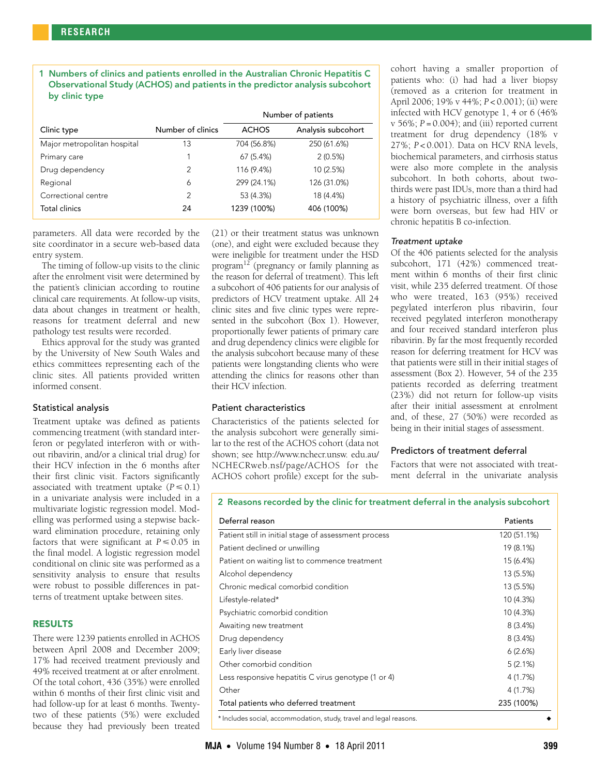1 Numbers of clinics and patients enrolled in the Australian Chronic Hepatitis C Observational Study (ACHOS) and patients in the predictor analysis subcohort by clinic type

|                             |                   | Number of patients |                    |  |  |
|-----------------------------|-------------------|--------------------|--------------------|--|--|
| Clinic type                 | Number of clinics | <b>ACHOS</b>       | Analysis subcohort |  |  |
| Major metropolitan hospital | 13                | 704 (56.8%)        | 250 (61.6%)        |  |  |
| Primary care                |                   | 67(5.4%)           | 2(0.5%)            |  |  |
| Drug dependency             | $\overline{2}$    | 116 (9.4%)         | 10 (2.5%)          |  |  |
| Regional                    | 6                 | 299 (24.1%)        | 126 (31.0%)        |  |  |
| Correctional centre         | $\overline{2}$    | 53 (4.3%)          | 18 (4.4%)          |  |  |
| Total clinics               | 24                | 1239 (100%)        | 406 (100%)         |  |  |

parameters. All data were recorded by the site coordinator in a secure web-based data entry system.

The timing of follow-up visits to the clinic after the enrolment visit were determined by the patient's clinician according to routine clinical care requirements. At follow-up visits, data about changes in treatment or health, reasons for treatment deferral and new pathology test results were recorded.

Ethics approval for the study was granted by the University of New South Wales and ethics committees representing each of the clinic sites. All patients provided written informed consent.

### Statistical analysis

Treatment uptake was defined as patients commencing treatment (with standard interferon or pegylated interferon with or without ribavirin, and/or a clinical trial drug) for their HCV infection in the 6 months after their first clinic visit. Factors significantly associated with treatment uptake  $(P \le 0.1)$ in a univariate analysis were included in a multivariate logistic regression model. Modelling was performed using a stepwise backward elimination procedure, retaining only factors that were significant at  $P \leq 0.05$  in the final model. A logistic regression model conditional on clinic site was performed as a sensitivity analysis to ensure that results were robust to possible differences in patterns of treatment uptake between sites.

### RESULTS

There were 1239 patients enrolled in ACHOS between April 2008 and December 2009; 17% had received treatment previously and 49% received treatment at or after enrolment. Of the total cohort, 436 (35%) were enrolled within 6 months of their first clinic visit and had follow-up for at least 6 months. Twentytwo of these patients (5%) were excluded because they had previously been treated

(21) or their treatment status was unknown (one), and eight were excluded because they were ineligible for treatment under the HSD program[12](#page-4-10) (pregnancy or family planning as the reason for deferral of treatment). This left a subcohort of 406 patients for our analysis of predictors of HCV treatment uptake. All 24 clinic sites and five clinic types were represented in the subcohort (Box 1). However, proportionally fewer patients of primary care and drug dependency clinics were eligible for the analysis subcohort because many of these patients were longstanding clients who were attending the clinics for reasons other than their HCV infection.

# Patient characteristics

Characteristics of the patients selected for the analysis subcohort were generally similar to the rest of the ACHOS cohort (data not shown; see http://www.nchecr.unsw. edu.au/ NCHECRweb.nsf/page/ACHOS for the ACHOS cohort profile) except for the subcohort having a smaller proportion of patients who: (i) had had a liver biopsy (removed as a criterion for treatment in April 2006; 19% v 44%; *P* < 0.001); (ii) were infected with HCV genotype 1, 4 or 6 (46%  $v$  56%;  $P = 0.004$ ); and (iii) reported current treatment for drug dependency (18% v 27%; *P* < 0.001). Data on HCV RNA levels, biochemical parameters, and cirrhosis status were also more complete in the analysis subcohort. In both cohorts, about twothirds were past IDUs, more than a third had a history of psychiatric illness, over a fifth were born overseas, but few had HIV or chronic hepatitis B co-infection.

### Treatment uptake

Of the 406 patients selected for the analysis subcohort, 171 (42%) commenced treatment within 6 months of their first clinic visit, while 235 deferred treatment. Of those who were treated, 163 (95%) received pegylated interferon plus ribavirin, four received pegylated interferon monotherapy and four received standard interferon plus ribavirin. By far the most frequently recorded reason for deferring treatment for HCV was that patients were still in their initial stages of assessment (Box 2). However, 54 of the 235 patients recorded as deferring treatment (23%) did not return for follow-up visits after their initial assessment at enrolment and, of these, 27 (50%) were recorded as being in their initial stages of assessment.

### Predictors of treatment deferral

Factors that were not associated with treatment deferral in the univariate analysis

# 2 Reasons recorded by the clinic for treatment deferral in the analysis subcohort

| Deferral reason                                      | Patients<br>120 (51.1%) |  |  |
|------------------------------------------------------|-------------------------|--|--|
| Patient still in initial stage of assessment process |                         |  |  |
| Patient declined or unwilling                        | 19 (8.1%)               |  |  |
| Patient on waiting list to commence treatment        | 15 (6.4%)               |  |  |
| Alcohol dependency                                   | 13 (5.5%)               |  |  |
| Chronic medical comorbid condition                   | 13 (5.5%)               |  |  |
| Lifestyle-related*                                   | 10 (4.3%)               |  |  |
| Psychiatric comorbid condition                       | 10 (4.3%)               |  |  |
| Awaiting new treatment                               | 8(3.4%)                 |  |  |
| Drug dependency                                      | 8(3.4%)                 |  |  |
| Early liver disease                                  | 6(2.6%)                 |  |  |
| Other comorbid condition                             | 5(2.1%)                 |  |  |
| Less responsive hepatitis C virus genotype (1 or 4)  | 4 (1.7%)                |  |  |
| Other                                                | 4 (1.7%)                |  |  |
| Total patients who deferred treatment                | 235 (100%)              |  |  |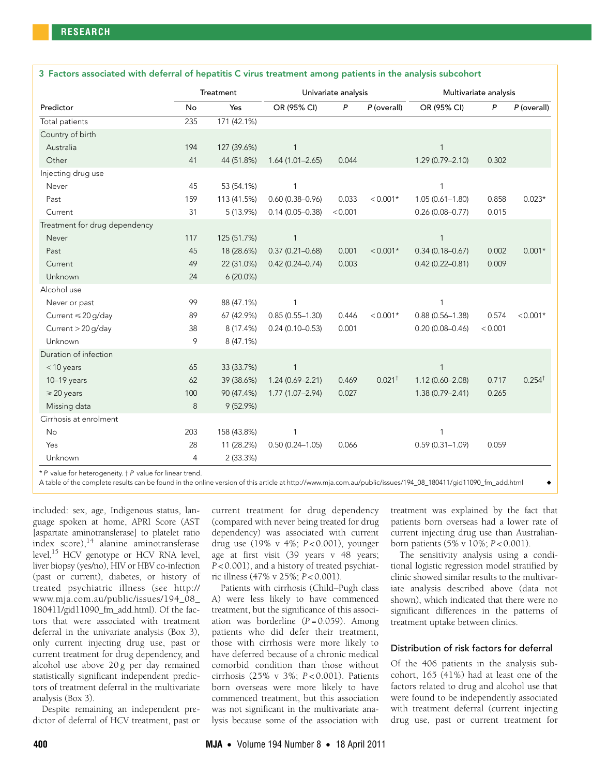|                               | Treatment      |             | Univariate analysis |         | Multivariate analysis |                     |         |                   |
|-------------------------------|----------------|-------------|---------------------|---------|-----------------------|---------------------|---------|-------------------|
| Predictor                     | No             | Yes         | OR (95% CI)         | P       | P (overall)           | OR (95% CI)         | P       | P (overall)       |
| Total patients                | 235            | 171 (42.1%) |                     |         |                       |                     |         |                   |
| Country of birth              |                |             |                     |         |                       |                     |         |                   |
| Australia                     | 194            | 127 (39.6%) | $\mathbf{1}$        |         |                       | $\mathbf{1}$        |         |                   |
| Other                         | 41             | 44 (51.8%)  | $1.64(1.01 - 2.65)$ | 0.044   |                       | 1.29 (0.79-2.10)    | 0.302   |                   |
| Injecting drug use            |                |             |                     |         |                       |                     |         |                   |
| Never                         | 45             | 53 (54.1%)  | $\mathbf{1}$        |         |                       | $\mathbf{1}$        |         |                   |
| Past                          | 159            | 113 (41.5%) | $0.60(0.38 - 0.96)$ | 0.033   | $< 0.001*$            | $1.05(0.61 - 1.80)$ | 0.858   | $0.023*$          |
| Current                       | 31             | 5 (13.9%)   | $0.14(0.05 - 0.38)$ | < 0.001 |                       | $0.26(0.08 - 0.77)$ | 0.015   |                   |
| Treatment for drug dependency |                |             |                     |         |                       |                     |         |                   |
| Never                         | 117            | 125 (51.7%) | $\mathbf{1}$        |         |                       | $\mathbf{1}$        |         |                   |
| Past                          | 45             | 18 (28.6%)  | $0.37(0.21 - 0.68)$ | 0.001   | $< 0.001*$            | $0.34(0.18 - 0.67)$ | 0.002   | $0.001*$          |
| Current                       | 49             | 22 (31.0%)  | $0.42(0.24 - 0.74)$ | 0.003   |                       | $0.42(0.22 - 0.81)$ | 0.009   |                   |
| Unknown                       | 24             | $6(20.0\%)$ |                     |         |                       |                     |         |                   |
| Alcohol use                   |                |             |                     |         |                       |                     |         |                   |
| Never or past                 | 99             | 88 (47.1%)  | $\mathbf{1}$        |         |                       | $\mathbf{1}$        |         |                   |
| Current ≤ 20 g/day            | 89             | 67 (42.9%)  | $0.85(0.55 - 1.30)$ | 0.446   | $< 0.001*$            | $0.88(0.56 - 1.38)$ | 0.574   | $< 0.001*$        |
| Current > 20 g/day            | 38             | 8 (17.4%)   | $0.24(0.10 - 0.53)$ | 0.001   |                       | $0.20(0.08 - 0.46)$ | < 0.001 |                   |
| Unknown                       | 9              | 8 (47.1%)   |                     |         |                       |                     |         |                   |
| Duration of infection         |                |             |                     |         |                       |                     |         |                   |
| $<$ 10 years                  | 65             | 33 (33.7%)  | $\mathbf{1}$        |         |                       | 1                   |         |                   |
| $10-19$ years                 | 62             | 39 (38.6%)  | $1.24(0.69 - 2.21)$ | 0.469   | $0.021$ <sup>†</sup>  | $1.12(0.60 - 2.08)$ | 0.717   | $0.254^{\dagger}$ |
| $\geq$ 20 years               | 100            | 90 (47.4%)  | 1.77 (1.07-2.94)    | 0.027   |                       | 1.38 (0.79-2.41)    | 0.265   |                   |
| Missing data                  | 8              | 9(52.9%)    |                     |         |                       |                     |         |                   |
| Cirrhosis at enrolment        |                |             |                     |         |                       |                     |         |                   |
| No                            | 203            | 158 (43.8%) | $\mathbf{1}$        |         |                       | $\mathbf{1}$        |         |                   |
| Yes                           | 28             | 11 (28.2%)  | $0.50(0.24 - 1.05)$ | 0.066   |                       | $0.59(0.31 - 1.09)$ | 0.059   |                   |
| Unknown                       | $\overline{4}$ | 2 (33.3%)   |                     |         |                       |                     |         |                   |

### 3 Factors associated with deferral of hepatitis C virus treatment among patients in the analysis subcohort

\* P value for heterogeneity. † P value for linear trend.

A table of the complete results can be found in the online version of this article at http://www.mja.com.au/public/issues/194\_08\_180411/gid11090\_fm\_add.html ◆

included: sex, age, Indigenous status, language spoken at home, APRI Score (AST [aspartate aminotransferase] to platelet ratio index score),[14](#page-4-13) alanine aminotransferase level,<sup>15</sup> HCV genotype or HCV RNA level, liver biopsy (yes/no), HIV or HBV co-infection (past or current), diabetes, or history of treated psychiatric illness (see http:// www.mja.com.au/public/issues/194\_08\_ 180411/gid11090\_fm\_add.html). Of the factors that were associated with treatment deferral in the univariate analysis (Box 3), only current injecting drug use, past or current treatment for drug dependency, and alcohol use above 20 g per day remained statistically significant independent predictors of treatment deferral in the multivariate analysis (Box 3).

Despite remaining an independent predictor of deferral of HCV treatment, past or current treatment for drug dependency (compared with never being treated for drug dependency) was associated with current drug use (19% v 4%; *P* < 0.001), younger age at first visit (39 years v 48 years; *P* < 0.001), and a history of treated psychiatric illness (47% v 25%; *P* < 0.001).

Patients with cirrhosis (Child–Pugh class A) were less likely to have commenced treatment, but the significance of this association was borderline (*P* = 0.059). Among patients who did defer their treatment, those with cirrhosis were more likely to have deferred because of a chronic medical comorbid condition than those without cirrhosis (25% v 3%; *P* < 0.001). Patients born overseas were more likely to have commenced treatment, but this association was not significant in the multivariate analysis because some of the association with

treatment was explained by the fact that patients born overseas had a lower rate of current injecting drug use than Australianborn patients (5% v 10%; *P* < 0.001).

The sensitivity analysis using a conditional logistic regression model stratified by clinic showed similar results to the multivariate analysis described above (data not shown), which indicated that there were no significant differences in the patterns of treatment uptake between clinics.

### Distribution of risk factors for deferral

Of the 406 patients in the analysis subcohort, 165 (41%) had at least one of the factors related to drug and alcohol use that were found to be independently associated with treatment deferral (current injecting drug use, past or current treatment for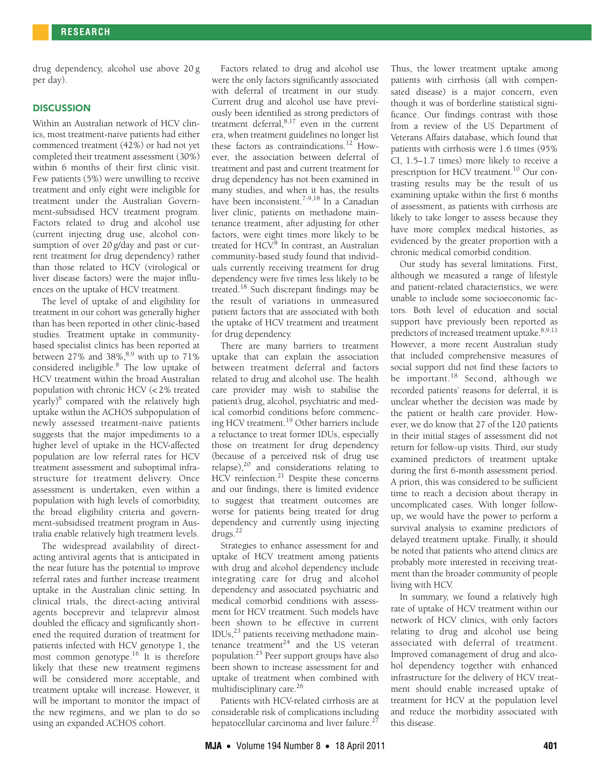drug dependency, alcohol use above 20 g per day).

## **DISCUSSION**

Within an Australian network of HCV clinics, most treatment-naive patients had either commenced treatment (42%) or had not yet completed their treatment assessment (30%) within 6 months of their first clinic visit. Few patients (5%) were unwilling to receive treatment and only eight were ineligible for treatment under the Australian Government-subsidised HCV treatment program. Factors related to drug and alcohol use (current injecting drug use, alcohol consumption of over 20 g/day and past or current treatment for drug dependency) rather than those related to HCV (virological or liver disease factors) were the major influences on the uptake of HCV treatment.

The level of uptake of and eligibility for treatment in our cohort was generally higher than has been reported in other clinic-based studies. Treatment uptake in communitybased specialist clinics has been reported at between 27% and 38%, $8,9$  $8,9$  with up to 71% considered ineligible.<sup>8</sup> The low uptake of HCV treatment within the broad Australian population with chronic HCV (< 2% treated yearly)<sup>[6](#page-4-5)</sup> compared with the relatively high uptake within the ACHOS subpopulation of newly assessed treatment-naive patients suggests that the major impediments to a higher level of uptake in the HCV-affected population are low referral rates for HCV treatment assessment and suboptimal infrastructure for treatment delivery. Once assessment is undertaken, even within a population with high levels of comorbidity, the broad eligibility criteria and government-subsidised treatment program in Australia enable relatively high treatment levels.

The widespread availability of directacting antiviral agents that is anticipated in the near future has the potential to improve referral rates and further increase treatment uptake in the Australian clinic setting. In clinical trials, the direct-acting antiviral agents boceprevir and telaprevir almost doubled the efficacy and significantly shortened the required duration of treatment for patients infected with HCV genotype 1, the most common genotype.<sup>16</sup> It is therefore likely that these new treatment regimens will be considered more acceptable, and treatment uptake will increase. However, it will be important to monitor the impact of the new regimens, and we plan to do so using an expanded ACHOS cohort.

Factors related to drug and alcohol use were the only factors significantly associated with deferral of treatment in our study. Current drug and alcohol use have previously been identified as strong predictors of treatment deferral,[8](#page-4-15),[17](#page-4-17) even in the current era, when treatment guidelines no longer list these factors as contraindications.<sup>12</sup> However, the association between deferral of treatment and past and current treatment for drug dependency has not been examined in many studies, and when it has, the results have been inconsistent.<sup>7-[9](#page-4-7),18</sup> In a Canadian liver clinic, patients on methadone maintenance treatment, after adjusting for other factors, were eight times more likely to be treated for HCV.<sup>[8](#page-4-15)</sup> In contrast, an Australian community-based study found that individuals currently receiving treatment for drug dependency were five times less likely to be treated.[18](#page-4-18) Such discrepant findings may be the result of variations in unmeasured patient factors that are associated with both the uptake of HCV treatment and treatment for drug dependency.

There are many barriers to treatment uptake that can explain the association between treatment deferral and factors related to drug and alcohol use. The health care provider may wish to stabilise the patient's drug, alcohol, psychiatric and medical comorbid conditions before commencing HCV treatment[.19](#page-4-19) Other barriers include a reluctance to treat former IDUs, especially those on treatment for drug dependency (because of a perceived risk of drug use relapse), $20$  and considerations relating to HCV reinfection.<sup>[21](#page-4-21)</sup> Despite these concerns and our findings, there is limited evidence to suggest that treatment outcomes are worse for patients being treated for drug dependency and currently using injecting  $\frac{1}{2}$ 

Strategies to enhance assessment for and uptake of HCV treatment among patients with drug and alcohol dependency include integrating care for drug and alcohol dependency and associated psychiatric and medical comorbid conditions with assessment for HCV treatment. Such models have been shown to be effective in current  $IDUs<sub>1</sub><sup>23</sup>$  patients receiving methadone maintenance treatment $24$  and the US veteran population[.25](#page-4-25) Peer support groups have also been shown to increase assessment for and uptake of treatment when combined with multidisciplinary care.<sup>26</sup>

Patients with HCV-related cirrhosis are at considerable risk of complications including hepatocellular carcinoma and liver failure.<sup>[27](#page-4-12)</sup>

Thus, the lower treatment uptake among patients with cirrhosis (all with compensated disease) is a major concern, even though it was of borderline statistical significance. Our findings contrast with those from a review of the US Department of Veterans Affairs database, which found that patients with cirrhosis were 1.6 times (95% CI, 1.5–1.7 times) more likely to receive a prescription for HCV treatment.<sup>10</sup> Our contrasting results may be the result of us examining uptake within the first 6 months of assessment, as patients with cirrhosis are likely to take longer to assess because they have more complex medical histories, as evidenced by the greater proportion with a chronic medical comorbid condition.

Our study has several limitations. First, although we measured a range of lifestyle and patient-related characteristics, we were unable to include some socioeconomic factors. Both level of education and social support have previously been reported as predictors of increased treatment uptake.<sup>8[,9](#page-4-7)[,11](#page-4-9)</sup> However, a more recent Australian study that included comprehensive measures of social support did not find these factors to be important.<sup>18</sup> Second, although we recorded patients' reasons for deferral, it is unclear whether the decision was made by the patient or health care provider. However, we do know that 27 of the 120 patients in their initial stages of assessment did not return for follow-up visits. Third, our study examined predictors of treatment uptake during the first 6-month assessment period. A priori, this was considered to be sufficient time to reach a decision about therapy in uncomplicated cases. With longer followup, we would have the power to perform a survival analysis to examine predictors of delayed treatment uptake. Finally, it should be noted that patients who attend clinics are probably more interested in receiving treatment than the broader community of people living with HCV.

In summary, we found a relatively high rate of uptake of HCV treatment within our network of HCV clinics, with only factors relating to drug and alcohol use being associated with deferral of treatment. Improved comanagement of drug and alcohol dependency together with enhanced infrastructure for the delivery of HCV treatment should enable increased uptake of treatment for HCV at the population level and reduce the morbidity associated with this disease.